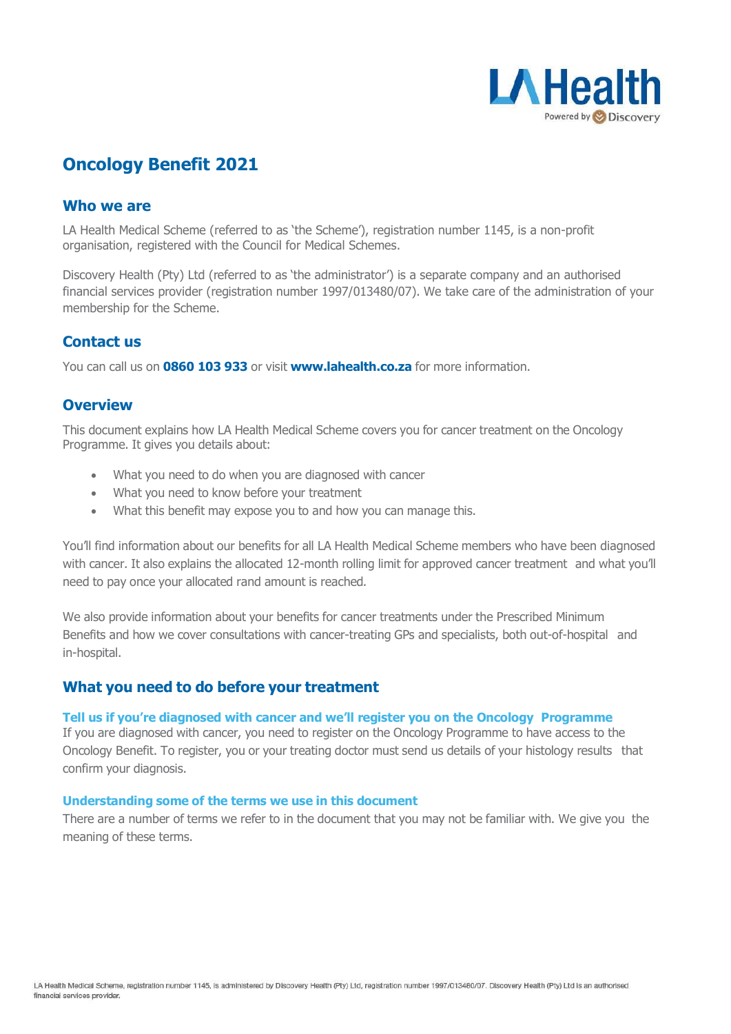

# **Oncology Benefit 2021**

# **Who we are**

LA Health Medical Scheme (referred to as 'the Scheme'), registration number 1145, is a non-profit organisation, registered with the Council for Medical Schemes.

Discovery Health (Pty) Ltd (referred to as 'the administrator') is a separate company and an authorised financial services provider (registration number 1997/013480/07). We take care of the administration of your membership for the Scheme.

# **Contact us**

You can call us on **0860 103 933** or visit **[www.lahealth.co.za](http://www.lahealth.co.za/)** for more information.

# **Overview**

This document explains how LA Health Medical Scheme covers you for cancer treatment on the Oncology Programme. It gives you details about:

- What you need to do when you are diagnosed with cancer
- What you need to know before your treatment
- What this benefit may expose you to and how you can manage this.

You'll find information about our benefits for all LA Health Medical Scheme members who have been diagnosed with cancer. It also explains the allocated 12-month rolling limit for approved cancer treatment and what you'll need to pay once your allocated rand amount is reached.

We also provide information about your benefits for cancer treatments under the Prescribed Minimum Benefits and how we cover consultations with cancer-treating GPs and specialists, both out-of-hospital and in-hospital.

# **What you need to do before your treatment**

# **Tell us if you're diagnosed with cancer and we'll register you on the Oncology Programme**

If you are diagnosed with cancer, you need to register on the Oncology Programme to have access to the Oncology Benefit. To register, you or your treating doctor must send us details of your histology results that confirm your diagnosis.

#### **Understanding some of the terms we use in this document**

There are a number of terms we refer to in the document that you may not be familiar with. We give you the meaning of these terms.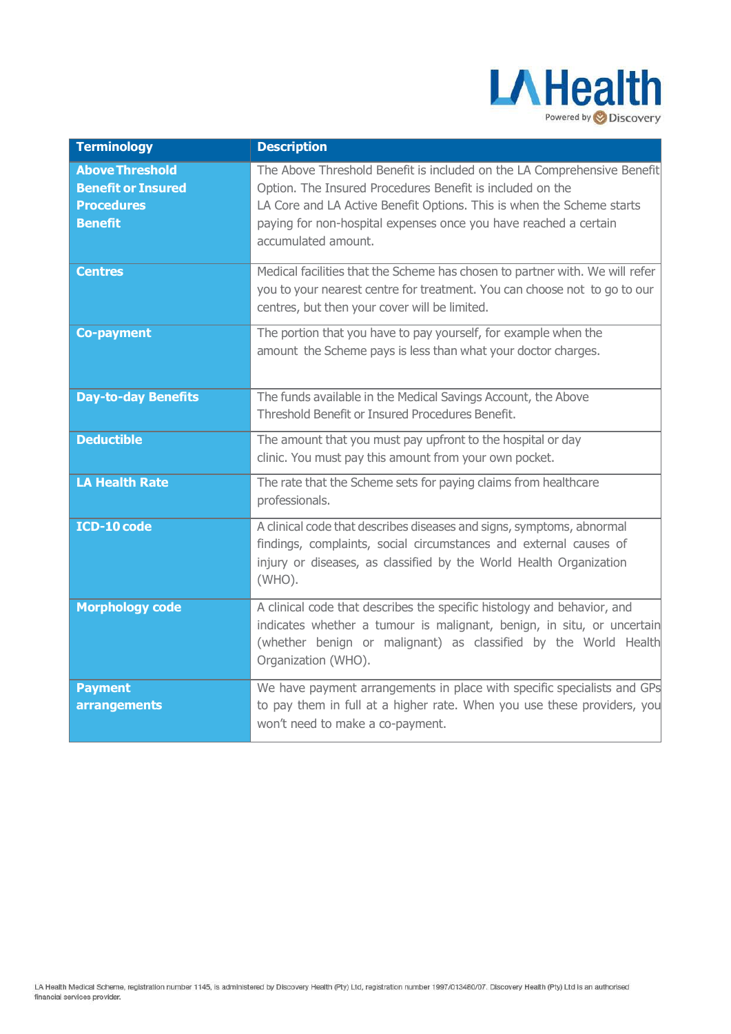

| <b>Terminology</b>                                                                         | <b>Description</b>                                                                                                                                                                                                                                                                                       |
|--------------------------------------------------------------------------------------------|----------------------------------------------------------------------------------------------------------------------------------------------------------------------------------------------------------------------------------------------------------------------------------------------------------|
| <b>Above Threshold</b><br><b>Benefit or Insured</b><br><b>Procedures</b><br><b>Benefit</b> | The Above Threshold Benefit is included on the LA Comprehensive Benefit<br>Option. The Insured Procedures Benefit is included on the<br>LA Core and LA Active Benefit Options. This is when the Scheme starts<br>paying for non-hospital expenses once you have reached a certain<br>accumulated amount. |
| <b>Centres</b>                                                                             | Medical facilities that the Scheme has chosen to partner with. We will refer<br>you to your nearest centre for treatment. You can choose not to go to our<br>centres, but then your cover will be limited.                                                                                               |
| <b>Co-payment</b>                                                                          | The portion that you have to pay yourself, for example when the<br>amount the Scheme pays is less than what your doctor charges.                                                                                                                                                                         |
| <b>Day-to-day Benefits</b>                                                                 | The funds available in the Medical Savings Account, the Above<br>Threshold Benefit or Insured Procedures Benefit.                                                                                                                                                                                        |
| <b>Deductible</b>                                                                          | The amount that you must pay upfront to the hospital or day<br>clinic. You must pay this amount from your own pocket.                                                                                                                                                                                    |
| <b>LA Health Rate</b>                                                                      | The rate that the Scheme sets for paying claims from healthcare<br>professionals.                                                                                                                                                                                                                        |
| ICD-10 code                                                                                | A clinical code that describes diseases and signs, symptoms, abnormal<br>findings, complaints, social circumstances and external causes of<br>injury or diseases, as classified by the World Health Organization<br>$(WHO)$ .                                                                            |
| <b>Morphology code</b>                                                                     | A clinical code that describes the specific histology and behavior, and<br>indicates whether a tumour is malignant, benign, in situ, or uncertain<br>(whether benign or malignant) as classified by the World Health<br>Organization (WHO).                                                              |
| <b>Payment</b><br>arrangements                                                             | We have payment arrangements in place with specific specialists and GPs<br>to pay them in full at a higher rate. When you use these providers, you<br>won't need to make a co-payment.                                                                                                                   |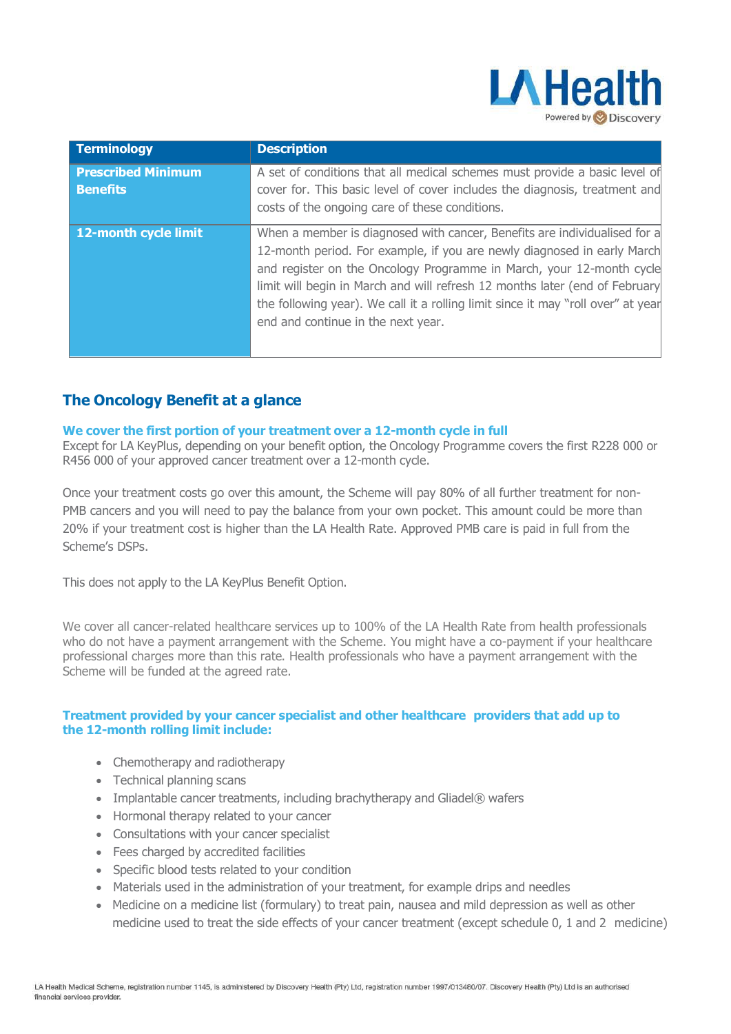

| <b>Terminology</b>                           | <b>Description</b>                                                                                                                                                                                                                                                                                                                                                                                                                    |
|----------------------------------------------|---------------------------------------------------------------------------------------------------------------------------------------------------------------------------------------------------------------------------------------------------------------------------------------------------------------------------------------------------------------------------------------------------------------------------------------|
| <b>Prescribed Minimum</b><br><b>Benefits</b> | A set of conditions that all medical schemes must provide a basic level of<br>cover for. This basic level of cover includes the diagnosis, treatment and<br>costs of the ongoing care of these conditions.                                                                                                                                                                                                                            |
| 12-month cycle limit                         | When a member is diagnosed with cancer, Benefits are individualised for a<br>12-month period. For example, if you are newly diagnosed in early March<br>and register on the Oncology Programme in March, your 12-month cycle<br>limit will begin in March and will refresh 12 months later (end of February<br>the following year). We call it a rolling limit since it may "roll over" at year<br>end and continue in the next year. |

# **The Oncology Benefit at a glance**

### **We cover the first portion of your treatment over a 12-month cycle in full**

Except for LA KeyPlus, depending on your benefit option, the Oncology Programme covers the first R228 000 or R456 000 of your approved cancer treatment over a 12-month cycle.

Once your treatment costs go over this amount, the Scheme will pay 80% of all further treatment for non-PMB cancers and you will need to pay the balance from your own pocket. This amount could be more than 20% if your treatment cost is higher than the LA Health Rate. Approved PMB care is paid in full from the Scheme's DSPs.

This does not apply to the LA KeyPlus Benefit Option.

We cover all cancer-related healthcare services up to 100% of the LA Health Rate from health professionals who do not have a payment arrangement with the Scheme. You might have a co-payment if your healthcare professional charges more than this rate. Health professionals who have a payment arrangement with the Scheme will be funded at the agreed rate.

# **Treatment provided by your cancer specialist and other healthcare providers that add up to the 12-month rolling limit include:**

- Chemotherapy and radiotherapy
- Technical planning scans
- Implantable cancer treatments, including brachytherapy and Gliadel® wafers
- Hormonal therapy related to your cancer
- Consultations with your cancer specialist
- Fees charged by accredited facilities
- Specific blood tests related to your condition
- Materials used in the administration of your treatment, for example drips and needles
- Medicine on a medicine list (formulary) to treat pain, nausea and mild depression as well as other medicine used to treat the side effects of your cancer treatment (except schedule 0, 1 and 2 medicine)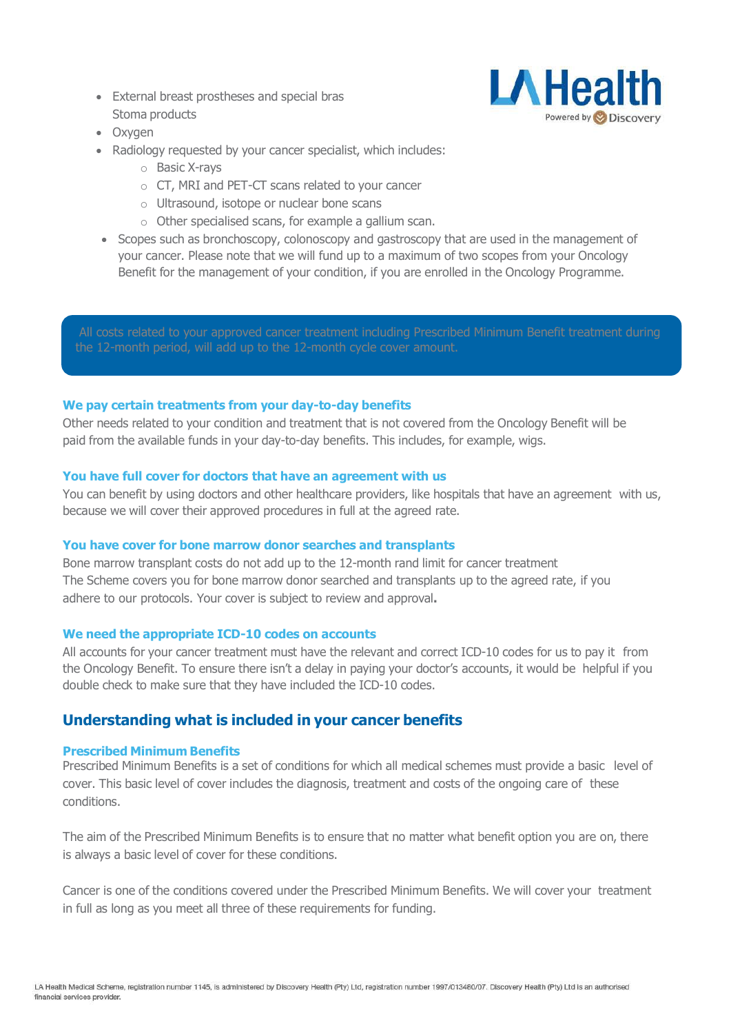External breast prostheses and special bras Stoma products



- Oxygen
- Radiology requested by your cancer specialist, which includes:
	- o Basic X-rays
	- o CT, MRI and PET-CT scans related to your cancer
	- o Ultrasound, isotope or nuclear bone scans
	- o Other specialised scans, for example a gallium scan.
- Scopes such as bronchoscopy, colonoscopy and gastroscopy that are used in the management of your cancer. Please note that we will fund up to a maximum of two scopes from your Oncology Benefit for the management of your condition, if you are enrolled in the Oncology Programme.

All costs related to your approved cancer treatment including Prescribed Minimum Benefit treatment during the 12-month period, will add up to the 12-month cycle cover amount.

# **We pay certain treatments from your day-to-day benefits**

Other needs related to your condition and treatment that is not covered from the Oncology Benefit will be paid from the available funds in your day-to-day benefits. This includes, for example, wigs.

# **You have full cover for doctors that have an agreement with us**

You can benefit by using doctors and other healthcare providers, like hospitals that have an agreement with us, because we will cover their approved procedures in full at the agreed rate.

### **You have cover for bone marrow donor searches and transplants**

Bone marrow transplant costs do not add up to the 12-month rand limit for cancer treatment The Scheme covers you for bone marrow donor searched and transplants up to the agreed rate, if you adhere to our protocols. Your cover is subject to review and approval**.**

### **We need the appropriate ICD-10 codes on accounts**

All accounts for your cancer treatment must have the relevant and correct ICD-10 codes for us to pay it from the Oncology Benefit. To ensure there isn't a delay in paying your doctor's accounts, it would be helpful if you double check to make sure that they have included the ICD-10 codes.

# **Understanding what is included in your cancer benefits**

### **Prescribed Minimum Benefits**

Prescribed Minimum Benefits is a set of conditions for which all medical schemes must provide a basic level of cover. This basic level of cover includes the diagnosis, treatment and costs of the ongoing care of these conditions.

The aim of the Prescribed Minimum Benefits is to ensure that no matter what benefit option you are on, there is always a basic level of cover for these conditions.

Cancer is one of the conditions covered under the Prescribed Minimum Benefits. We will cover your treatment in full as long as you meet all three of these requirements for funding.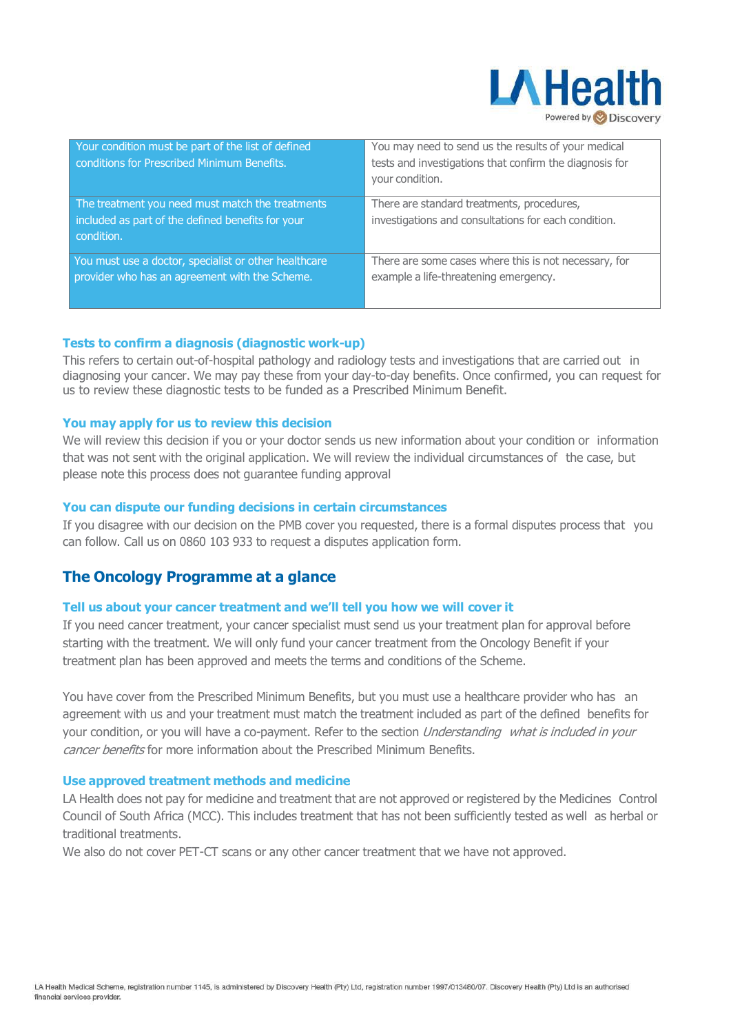

| Your condition must be part of the list of defined<br>conditions for Prescribed Minimum Benefits.                   | You may need to send us the results of your medical<br>tests and investigations that confirm the diagnosis for<br>your condition. |
|---------------------------------------------------------------------------------------------------------------------|-----------------------------------------------------------------------------------------------------------------------------------|
| The treatment you need must match the treatments<br>included as part of the defined benefits for your<br>condition. | There are standard treatments, procedures,<br>investigations and consultations for each condition.                                |
| You must use a doctor, specialist or other healthcare<br>provider who has an agreement with the Scheme.             | There are some cases where this is not necessary, for<br>example a life-threatening emergency.                                    |

# **Tests to confirm a diagnosis (diagnostic work-up)**

This refers to certain out-of-hospital pathology and radiology tests and investigations that are carried out in diagnosing your cancer. We may pay these from your day-to-day benefits. Once confirmed, you can request for us to review these diagnostic tests to be funded as a Prescribed Minimum Benefit.

### **You may apply for us to review this decision**

We will review this decision if you or your doctor sends us new information about your condition or information that was not sent with the original application. We will review the individual circumstances of the case, but please note this process does not guarantee funding approval

### **You can dispute our funding decisions in certain circumstances**

If you disagree with our decision on the PMB cover you requested, there is a formal disputes process that you can follow. Call us on 0860 103 933 to request a disputes application form.

# **The Oncology Programme at a glance**

### **Tell us about your cancer treatment and we'll tell you how we will cover it**

If you need cancer treatment, your cancer specialist must send us your treatment plan for approval before starting with the treatment. We will only fund your cancer treatment from the Oncology Benefit if your treatment plan has been approved and meets the terms and conditions of the Scheme.

You have cover from the Prescribed Minimum Benefits, but you must use a healthcare provider who has an agreement with us and your treatment must match the treatment included as part of the defined benefits for your condition, or you will have a co-payment. Refer to the section Understanding what is included in your cancer benefits for more information about the Prescribed Minimum Benefits.

#### **Use approved treatment methods and medicine**

LA Health does not pay for medicine and treatment that are not approved or registered by the Medicines Control Council of South Africa (MCC). This includes treatment that has not been sufficiently tested as well as herbal or traditional treatments.

We also do not cover PET-CT scans or any other cancer treatment that we have not approved.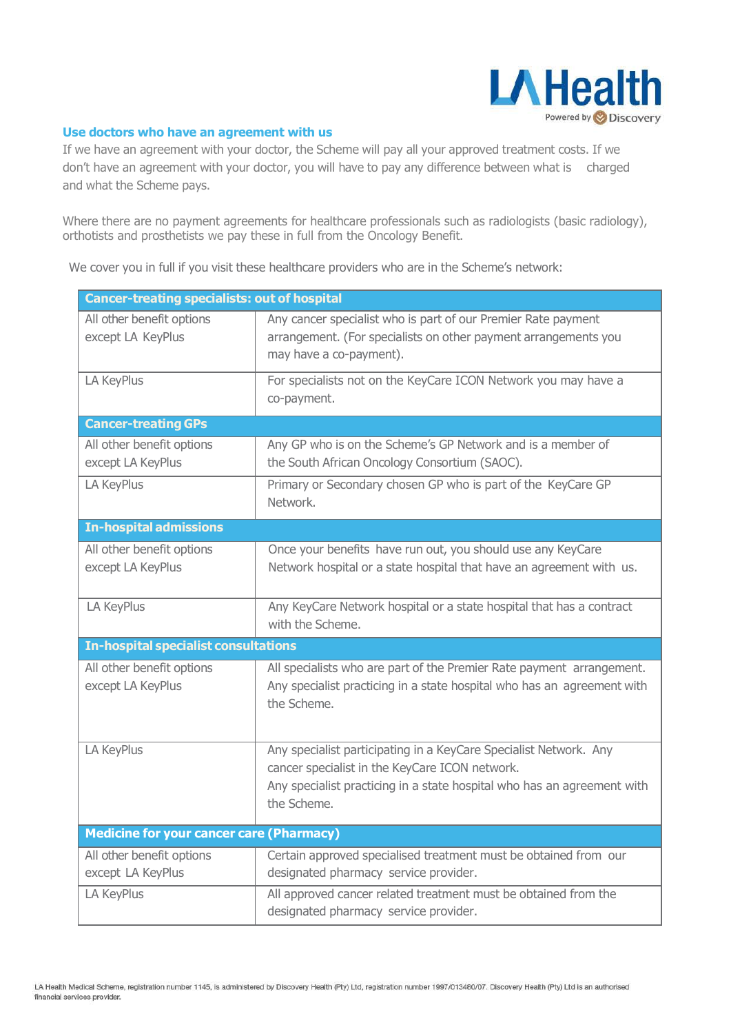

### **Use doctors who have an agreement with us**

If we have an agreement with your doctor, the Scheme will pay all your approved treatment costs. If we don't have an agreement with your doctor, you will have to pay any difference between what is charged and what the Scheme pays.

Where there are no payment agreements for healthcare professionals such as radiologists (basic radiology), orthotists and prosthetists we pay these in full from the Oncology Benefit.

We cover you in full if you visit these healthcare providers who are in the Scheme's network:

| <b>Cancer-treating specialists: out of hospital</b> |                                                                                                                                                                                                               |  |
|-----------------------------------------------------|---------------------------------------------------------------------------------------------------------------------------------------------------------------------------------------------------------------|--|
| All other benefit options<br>except LA KeyPlus      | Any cancer specialist who is part of our Premier Rate payment<br>arrangement. (For specialists on other payment arrangements you<br>may have a co-payment).                                                   |  |
| LA KeyPlus                                          | For specialists not on the KeyCare ICON Network you may have a<br>co-payment.                                                                                                                                 |  |
| <b>Cancer-treating GPs</b>                          |                                                                                                                                                                                                               |  |
| All other benefit options<br>except LA KeyPlus      | Any GP who is on the Scheme's GP Network and is a member of<br>the South African Oncology Consortium (SAOC).                                                                                                  |  |
| LA KeyPlus                                          | Primary or Secondary chosen GP who is part of the KeyCare GP<br>Network.                                                                                                                                      |  |
| <b>In-hospital admissions</b>                       |                                                                                                                                                                                                               |  |
| All other benefit options                           | Once your benefits have run out, you should use any KeyCare                                                                                                                                                   |  |
| except LA KeyPlus                                   | Network hospital or a state hospital that have an agreement with us.                                                                                                                                          |  |
| LA KeyPlus                                          | Any KeyCare Network hospital or a state hospital that has a contract<br>with the Scheme.                                                                                                                      |  |
| <b>In-hospital specialist consultations</b>         |                                                                                                                                                                                                               |  |
| All other benefit options<br>except LA KeyPlus      | All specialists who are part of the Premier Rate payment arrangement.<br>Any specialist practicing in a state hospital who has an agreement with<br>the Scheme.                                               |  |
| LA KeyPlus                                          | Any specialist participating in a KeyCare Specialist Network. Any<br>cancer specialist in the KeyCare ICON network.<br>Any specialist practicing in a state hospital who has an agreement with<br>the Scheme. |  |
| <b>Medicine for your cancer care (Pharmacy)</b>     |                                                                                                                                                                                                               |  |
| All other benefit options<br>except LA KeyPlus      | Certain approved specialised treatment must be obtained from our<br>designated pharmacy service provider.                                                                                                     |  |
| LA KeyPlus                                          | All approved cancer related treatment must be obtained from the<br>designated pharmacy service provider.                                                                                                      |  |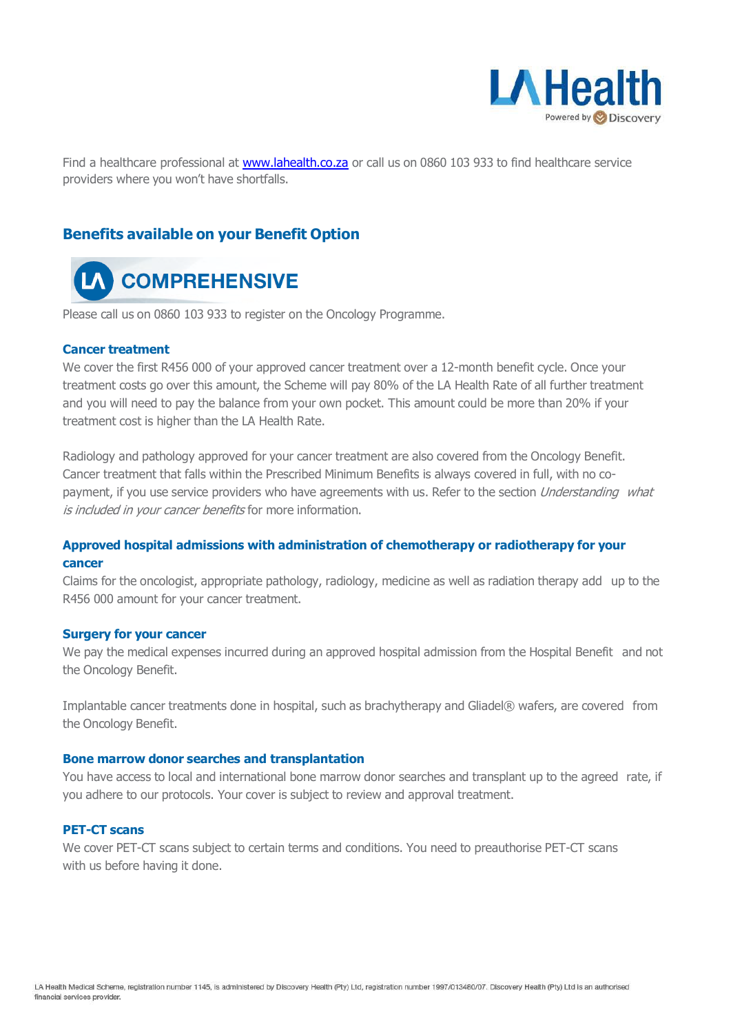

Find a healthcare professional at [www.lahealth.co.za](http://www.lahealth.co.za/) or call us on 0860 103 933 to find healthcare service providers where you won't have shortfalls.

# **Benefits available on your Benefit Option**



Please call us on 0860 103 933 to register on the Oncology Programme.

### **Cancer treatment**

We cover the first R456 000 of your approved cancer treatment over a 12-month benefit cycle. Once your treatment costs go over this amount, the Scheme will pay 80% of the LA Health Rate of all further treatment and you will need to pay the balance from your own pocket. This amount could be more than 20% if your treatment cost is higher than the LA Health Rate.

Radiology and pathology approved for your cancer treatment are also covered from the Oncology Benefit. Cancer treatment that falls within the Prescribed Minimum Benefits is always covered in full, with no copayment, if you use service providers who have agreements with us. Refer to the section *Understanding what* is included in your cancer benefits for more information.

# **Approved hospital admissions with administration of chemotherapy or radiotherapy for your cancer**

Claims for the oncologist, appropriate pathology, radiology, medicine as well as radiation therapy add up to the R456 000 amount for your cancer treatment.

### **Surgery for your cancer**

We pay the medical expenses incurred during an approved hospital admission from the Hospital Benefit and not the Oncology Benefit.

Implantable cancer treatments done in hospital, such as brachytherapy and Gliadel® wafers, are covered from the Oncology Benefit.

### **Bone marrow donor searches and transplantation**

You have access to local and international bone marrow donor searches and transplant up to the agreed rate, if you adhere to our protocols. Your cover is subject to review and approval treatment.

### **PET-CT scans**

We cover PET-CT scans subject to certain terms and conditions. You need to preauthorise PET-CT scans with us before having it done.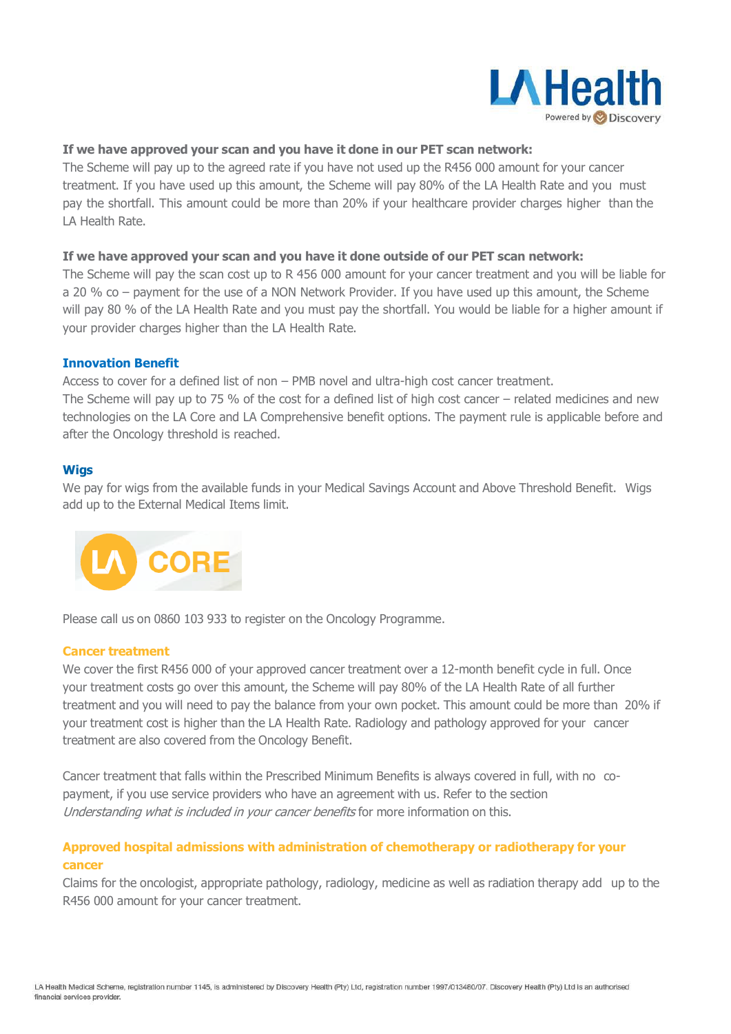

# **If we have approved your scan and you have it done in our PET scan network:**

The Scheme will pay up to the agreed rate if you have not used up the R456 000 amount for your cancer treatment. If you have used up this amount, the Scheme will pay 80% of the LA Health Rate and you must pay the shortfall. This amount could be more than 20% if your healthcare provider charges higher than the LA Health Rate.

# **If we have approved your scan and you have it done outside of our PET scan network:**

The Scheme will pay the scan cost up to R 456 000 amount for your cancer treatment and you will be liable for a 20 % co – payment for the use of a NON Network Provider. If you have used up this amount, the Scheme will pay 80 % of the LA Health Rate and you must pay the shortfall. You would be liable for a higher amount if your provider charges higher than the LA Health Rate.

### **Innovation Benefit**

Access to cover for a defined list of non – PMB novel and ultra-high cost cancer treatment.

The Scheme will pay up to 75 % of the cost for a defined list of high cost cancer – related medicines and new technologies on the LA Core and LA Comprehensive benefit options. The payment rule is applicable before and after the Oncology threshold is reached.

### **Wigs**

We pay for wigs from the available funds in your Medical Savings Account and Above Threshold Benefit. Wigs add up to the External Medical Items limit.



Please call us on 0860 103 933 to register on the Oncology Programme.

### **Cancer treatment**

We cover the first R456 000 of your approved cancer treatment over a 12-month benefit cycle in full. Once your treatment costs go over this amount, the Scheme will pay 80% of the LA Health Rate of all further treatment and you will need to pay the balance from your own pocket. This amount could be more than 20% if your treatment cost is higher than the LA Health Rate. Radiology and pathology approved for your cancer treatment are also covered from the Oncology Benefit.

Cancer treatment that falls within the Prescribed Minimum Benefits is always covered in full, with no copayment, if you use service providers who have an agreement with us. Refer to the section Understanding what is included in your cancer benefits for more information on this.

# **Approved hospital admissions with administration of chemotherapy or radiotherapy for your cancer**

Claims for the oncologist, appropriate pathology, radiology, medicine as well as radiation therapy add up to the R456 000 amount for your cancer treatment.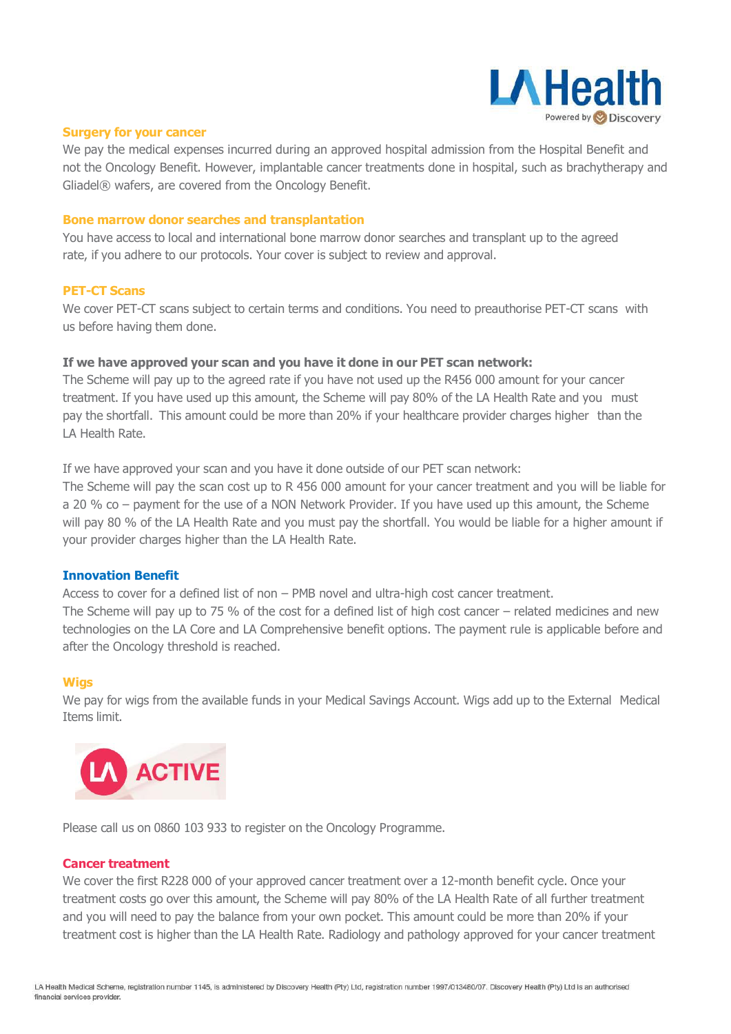

### **Surgery for your cancer**

We pay the medical expenses incurred during an approved hospital admission from the Hospital Benefit and not the Oncology Benefit. However, implantable cancer treatments done in hospital, such as brachytherapy and Gliadel® wafers, are covered from the Oncology Benefit.

### **Bone marrow donor searches and transplantation**

You have access to local and international bone marrow donor searches and transplant up to the agreed rate, if you adhere to our protocols. Your cover is subject to review and approval.

### **PET-CT Scans**

We cover PET-CT scans subject to certain terms and conditions. You need to preauthorise PET-CT scans with us before having them done.

### **If we have approved your scan and you have it done in our PET scan network:**

The Scheme will pay up to the agreed rate if you have not used up the R456 000 amount for your cancer treatment. If you have used up this amount, the Scheme will pay 80% of the LA Health Rate and you must pay the shortfall. This amount could be more than 20% if your healthcare provider charges higher than the LA Health Rate.

If we have approved your scan and you have it done outside of our PET scan network:

The Scheme will pay the scan cost up to R 456 000 amount for your cancer treatment and you will be liable for a 20 % co – payment for the use of a NON Network Provider. If you have used up this amount, the Scheme will pay 80 % of the LA Health Rate and you must pay the shortfall. You would be liable for a higher amount if your provider charges higher than the LA Health Rate.

#### **Innovation Benefit**

Access to cover for a defined list of non – PMB novel and ultra-high cost cancer treatment.

The Scheme will pay up to 75 % of the cost for a defined list of high cost cancer – related medicines and new technologies on the LA Core and LA Comprehensive benefit options. The payment rule is applicable before and after the Oncology threshold is reached.

#### **Wigs**

We pay for wigs from the available funds in your Medical Savings Account. Wigs add up to the External Medical Items limit.



Please call us on 0860 103 933 to register on the Oncology Programme.

### **Cancer treatment**

We cover the first R228 000 of your approved cancer treatment over a 12-month benefit cycle. Once your treatment costs go over this amount, the Scheme will pay 80% of the LA Health Rate of all further treatment and you will need to pay the balance from your own pocket. This amount could be more than 20% if your treatment cost is higher than the LA Health Rate. Radiology and pathology approved for your cancer treatment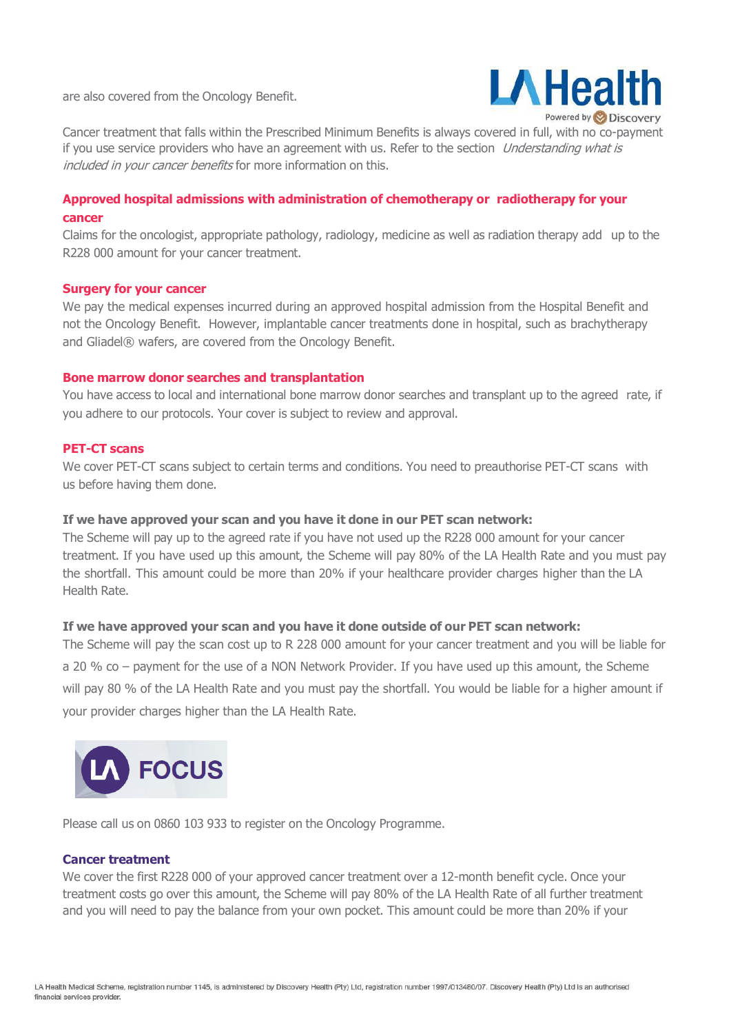are also covered from the Oncology Benefit.



Cancer treatment that falls within the Prescribed Minimum Benefits is always covered in full, with no co-payment if you use service providers who have an agreement with us. Refer to the section *Understanding what is* included in your cancer benefits for more information on this.

# **Approved hospital admissions with administration of chemotherapy or radiotherapy for your cancer**

Claims for the oncologist, appropriate pathology, radiology, medicine as well as radiation therapy add up to the R228 000 amount for your cancer treatment.

### **Surgery for your cancer**

We pay the medical expenses incurred during an approved hospital admission from the Hospital Benefit and not the Oncology Benefit. However, implantable cancer treatments done in hospital, such as brachytherapy and Gliadel® wafers, are covered from the Oncology Benefit.

### **Bone marrow donor searches and transplantation**

You have access to local and international bone marrow donor searches and transplant up to the agreed rate, if you adhere to our protocols. Your cover is subject to review and approval.

### **PET-CT scans**

We cover PET-CT scans subject to certain terms and conditions. You need to preauthorise PET-CT scans with us before having them done.

### **If we have approved your scan and you have it done in our PET scan network:**

The Scheme will pay up to the agreed rate if you have not used up the R228 000 amount for your cancer treatment. If you have used up this amount, the Scheme will pay 80% of the LA Health Rate and you must pay the shortfall. This amount could be more than 20% if your healthcare provider charges higher than the LA Health Rate.

### **If we have approved your scan and you have it done outside of our PET scan network:**

The Scheme will pay the scan cost up to R 228 000 amount for your cancer treatment and you will be liable for a 20 % co – payment for the use of a NON Network Provider. If you have used up this amount, the Scheme will pay 80 % of the LA Health Rate and you must pay the shortfall. You would be liable for a higher amount if your provider charges higher than the LA Health Rate.



Please call us on 0860 103 933 to register on the Oncology Programme.

#### **Cancer treatment**

We cover the first R228 000 of your approved cancer treatment over a 12-month benefit cycle. Once your treatment costs go over this amount, the Scheme will pay 80% of the LA Health Rate of all further treatment and you will need to pay the balance from your own pocket. This amount could be more than 20% if your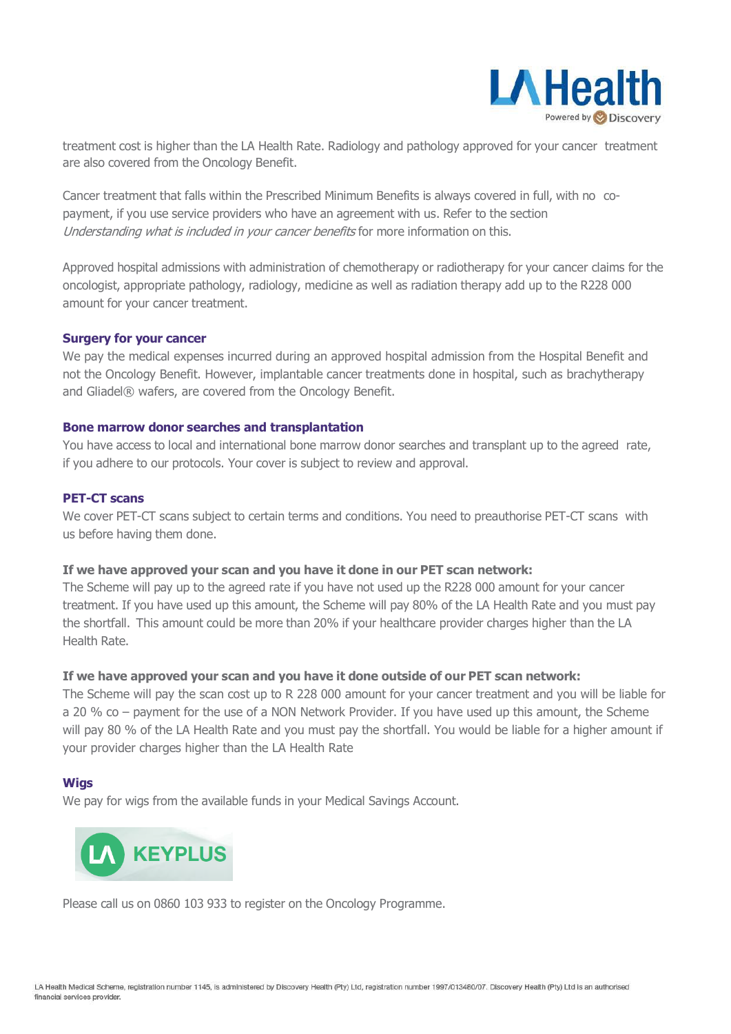

treatment cost is higher than the LA Health Rate. Radiology and pathology approved for your cancer treatment are also covered from the Oncology Benefit.

Cancer treatment that falls within the Prescribed Minimum Benefits is always covered in full, with no copayment, if you use service providers who have an agreement with us. Refer to the section Understanding what is included in your cancer benefits for more information on this.

Approved hospital admissions with administration of chemotherapy or radiotherapy for your cancer claims for the oncologist, appropriate pathology, radiology, medicine as well as radiation therapy add up to the R228 000 amount for your cancer treatment.

### **Surgery for your cancer**

We pay the medical expenses incurred during an approved hospital admission from the Hospital Benefit and not the Oncology Benefit. However, implantable cancer treatments done in hospital, such as brachytherapy and Gliadel® wafers, are covered from the Oncology Benefit.

### **Bone marrow donor searches and transplantation**

You have access to local and international bone marrow donor searches and transplant up to the agreed rate, if you adhere to our protocols. Your cover is subject to review and approval.

### **PET-CT scans**

We cover PET-CT scans subject to certain terms and conditions. You need to preauthorise PET-CT scans with us before having them done.

### **If we have approved your scan and you have it done in our PET scan network:**

The Scheme will pay up to the agreed rate if you have not used up the R228 000 amount for your cancer treatment. If you have used up this amount, the Scheme will pay 80% of the LA Health Rate and you must pay the shortfall. This amount could be more than 20% if your healthcare provider charges higher than the LA Health Rate.

#### **If we have approved your scan and you have it done outside of our PET scan network:**

The Scheme will pay the scan cost up to R 228 000 amount for your cancer treatment and you will be liable for a 20 % co – payment for the use of a NON Network Provider. If you have used up this amount, the Scheme will pay 80 % of the LA Health Rate and you must pay the shortfall. You would be liable for a higher amount if your provider charges higher than the LA Health Rate

#### **Wigs**

We pay for wigs from the available funds in your Medical Savings Account.



Please call us on 0860 103 933 to register on the Oncology Programme.